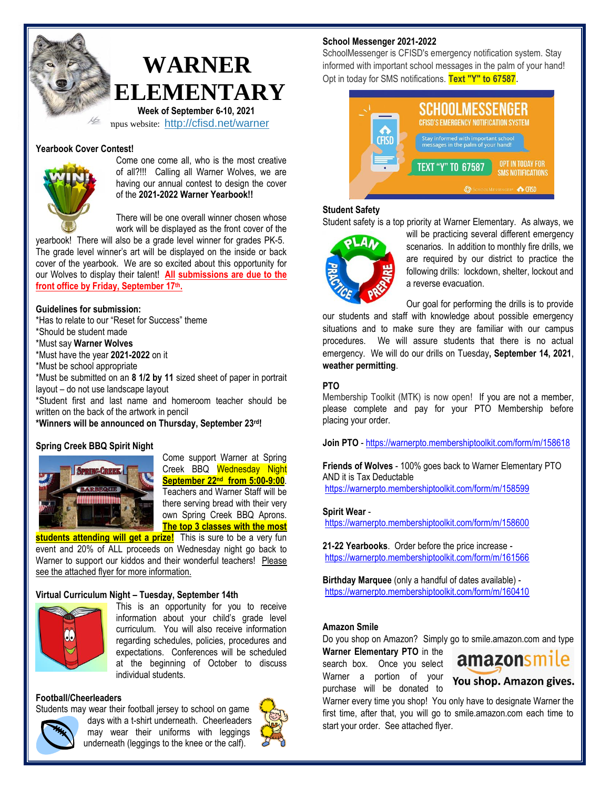

## **WARNER ELEMENTARY**

 **Week of September 6-10, 2021** npus website: <http://cfisd.net/warner>

#### **Yearbook Cover Contest!**



Come one come all, who is the most creative of all?!!! Calling all Warner Wolves, we are having our annual contest to design the cover of the **2021-2022 Warner Yearbook!!**

There will be one overall winner chosen whose work will be displayed as the front cover of the

yearbook! There will also be a grade level winner for grades PK-5. The grade level winner's art will be displayed on the inside or back cover of the yearbook. We are so excited about this opportunity for our Wolves to display their talent! **All submissions are due to the front office by Friday, September 17th .**

#### **Guidelines for submission:**

\*Has to relate to our "Reset for Success" theme

\*Should be student made

\*Must say **Warner Wolves**

\*Must have the year **2021-2022** on it

\*Must be school appropriate

\*Must be submitted on an **8 1/2 by 11** sized sheet of paper in portrait layout – do not use landscape layout

\*Student first and last name and homeroom teacher should be written on the back of the artwork in pencil

**\*Winners will be announced on Thursday, September 23 rd!**

#### **Spring Creek BBQ Spirit Night**



Come support Warner at Spring Creek BBQ Wednesday Night **September 22nd from 5:00-9:00**. Teachers and Warner Staff will be there serving bread with their very own Spring Creek BBQ Aprons. **The top 3 classes with the most** 

**students attending will get a prize!** This is sure to be a very fun event and 20% of ALL proceeds on Wednesday night go back to Warner to support our kiddos and their wonderful teachers! Please see the attached flyer for more information.

#### **Virtual Curriculum Night – Tuesday, September 14th**



This is an opportunity for you to receive information about your child's grade level curriculum. You will also receive information regarding schedules, policies, procedures and expectations. Conferences will be scheduled at the beginning of October to discuss individual students.

#### **Football/Cheerleaders**

Students may wear their football jersey to school on game



days with a t-shirt underneath. Cheerleaders may wear their uniforms with leggings underneath (leggings to the knee or the calf).



#### **School Messenger 2021-2022**

SchoolMessenger is CFISD's emergency notification system. Stay informed with important school messages in the palm of your hand! Opt in today for SMS notifications. **Text "Y" to 67587**.



#### **Student Safety**

Student safety is a top priority at Warner Elementary. As always, we



will be practicing several different emergency scenarios. In addition to monthly fire drills, we are required by our district to practice the following drills: lockdown, shelter, lockout and a reverse evacuation.

Our goal for performing the drills is to provide

our students and staff with knowledge about possible emergency situations and to make sure they are familiar with our campus procedures. We will assure students that there is no actual emergency. We will do our drills on Tuesday**, September 14, 2021**, **weather permitting**.

#### **PTO**

Membership Toolkit (MTK) is now open! If you are not a member, please complete and pay for your PTO Membership before placing your order.

**Join PTO** - <https://warnerpto.membershiptoolkit.com/form/m/158618>

**Friends of Wolves** - 100% goes back to Warner Elementary PTO AND it is Tax Deductable <https://warnerpto.membershiptoolkit.com/form/m/158599>

#### **Spirit Wear** -

<https://warnerpto.membershiptoolkit.com/form/m/158600>

**21-22 Yearbooks**. Order before the price increase <https://warnerpto.membershiptoolkit.com/form/m/161566>

**Birthday Marquee** (only a handful of dates available) <https://warnerpto.membershiptoolkit.com/form/m/160410>

#### **Amazon Smile**

Do you shop on Amazon? Simply go to smile.amazon.com and type

**Warner Elementary PTO** in the search box. Once you select Warner a portion of your **You shop. Amazon gives.** purchase will be donated to



Warner every time you shop! You only have to designate Warner the first time, after that, you will go to smile.amazon.com each time to start your order. See attached flyer.